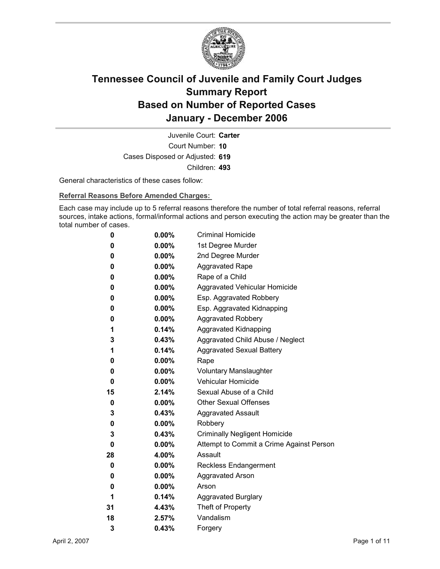

Court Number: **10** Juvenile Court: **Carter** Cases Disposed or Adjusted: **619** Children: **493**

General characteristics of these cases follow:

**Referral Reasons Before Amended Charges:** 

Each case may include up to 5 referral reasons therefore the number of total referral reasons, referral sources, intake actions, formal/informal actions and person executing the action may be greater than the total number of cases.

| 0  | $0.00\%$ | <b>Criminal Homicide</b>                 |
|----|----------|------------------------------------------|
| 0  | $0.00\%$ | 1st Degree Murder                        |
| 0  | $0.00\%$ | 2nd Degree Murder                        |
| 0  | $0.00\%$ | <b>Aggravated Rape</b>                   |
| 0  | $0.00\%$ | Rape of a Child                          |
| 0  | $0.00\%$ | Aggravated Vehicular Homicide            |
| 0  | $0.00\%$ | Esp. Aggravated Robbery                  |
| 0  | $0.00\%$ | Esp. Aggravated Kidnapping               |
| 0  | $0.00\%$ | <b>Aggravated Robbery</b>                |
| 1  | $0.14\%$ | <b>Aggravated Kidnapping</b>             |
| 3  | $0.43\%$ | Aggravated Child Abuse / Neglect         |
| 1  | 0.14%    | <b>Aggravated Sexual Battery</b>         |
| 0  | $0.00\%$ | Rape                                     |
| 0  | $0.00\%$ | <b>Voluntary Manslaughter</b>            |
| 0  | $0.00\%$ | <b>Vehicular Homicide</b>                |
| 15 | 2.14%    | Sexual Abuse of a Child                  |
| 0  | $0.00\%$ | <b>Other Sexual Offenses</b>             |
| 3  | $0.43\%$ | <b>Aggravated Assault</b>                |
| 0  | $0.00\%$ | Robbery                                  |
| 3  | 0.43%    | <b>Criminally Negligent Homicide</b>     |
| 0  | $0.00\%$ | Attempt to Commit a Crime Against Person |
| 28 | 4.00%    | Assault                                  |
| 0  | $0.00\%$ | <b>Reckless Endangerment</b>             |
| 0  | $0.00\%$ | <b>Aggravated Arson</b>                  |
| 0  | $0.00\%$ | Arson                                    |
| 1  | $0.14\%$ | <b>Aggravated Burglary</b>               |
| 31 | 4.43%    | Theft of Property                        |
| 18 | 2.57%    | Vandalism                                |
| 3  | 0.43%    | Forgery                                  |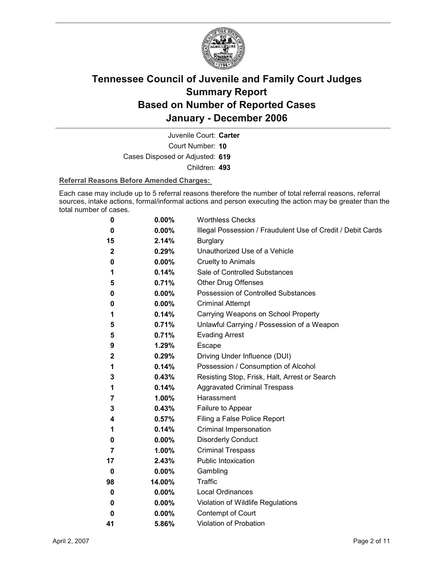

Court Number: **10** Juvenile Court: **Carter** Cases Disposed or Adjusted: **619** Children: **493**

#### **Referral Reasons Before Amended Charges:**

Each case may include up to 5 referral reasons therefore the number of total referral reasons, referral sources, intake actions, formal/informal actions and person executing the action may be greater than the total number of cases.

| 0            | 0.00%    | <b>Worthless Checks</b>                                     |
|--------------|----------|-------------------------------------------------------------|
| 0            | 0.00%    | Illegal Possession / Fraudulent Use of Credit / Debit Cards |
| 15           | 2.14%    | <b>Burglary</b>                                             |
| $\mathbf{2}$ | 0.29%    | Unauthorized Use of a Vehicle                               |
| 0            | 0.00%    | <b>Cruelty to Animals</b>                                   |
| 1            | 0.14%    | Sale of Controlled Substances                               |
| 5            | 0.71%    | <b>Other Drug Offenses</b>                                  |
| 0            | 0.00%    | Possession of Controlled Substances                         |
| 0            | 0.00%    | <b>Criminal Attempt</b>                                     |
| 1            | 0.14%    | Carrying Weapons on School Property                         |
| 5            | 0.71%    | Unlawful Carrying / Possession of a Weapon                  |
| 5            | 0.71%    | <b>Evading Arrest</b>                                       |
| 9            | 1.29%    | <b>Escape</b>                                               |
| 2            | 0.29%    | Driving Under Influence (DUI)                               |
| 1            | 0.14%    | Possession / Consumption of Alcohol                         |
| 3            | 0.43%    | Resisting Stop, Frisk, Halt, Arrest or Search               |
| 1            | 0.14%    | <b>Aggravated Criminal Trespass</b>                         |
| 7            | 1.00%    | Harassment                                                  |
| 3            | 0.43%    | Failure to Appear                                           |
| 4            | 0.57%    | Filing a False Police Report                                |
| 1            | 0.14%    | Criminal Impersonation                                      |
| 0            | $0.00\%$ | <b>Disorderly Conduct</b>                                   |
| 7            | 1.00%    | <b>Criminal Trespass</b>                                    |
| 17           | 2.43%    | <b>Public Intoxication</b>                                  |
| 0            | $0.00\%$ | Gambling                                                    |
| 98           | 14.00%   | <b>Traffic</b>                                              |
| 0            | 0.00%    | <b>Local Ordinances</b>                                     |
| 0            | 0.00%    | Violation of Wildlife Regulations                           |
| 0            | 0.00%    | Contempt of Court                                           |
| 41           | 5.86%    | <b>Violation of Probation</b>                               |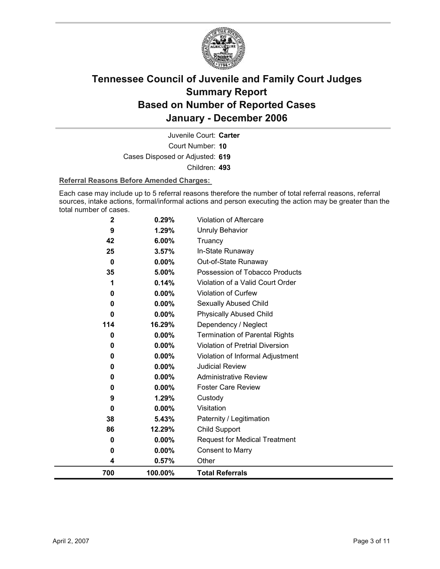

Court Number: **10** Juvenile Court: **Carter** Cases Disposed or Adjusted: **619** Children: **493**

#### **Referral Reasons Before Amended Charges:**

Each case may include up to 5 referral reasons therefore the number of total referral reasons, referral sources, intake actions, formal/informal actions and person executing the action may be greater than the total number of cases.

| $\mathbf{2}$ | 0.29%    | Violation of Aftercare                 |
|--------------|----------|----------------------------------------|
| 9            | 1.29%    | <b>Unruly Behavior</b>                 |
| 42           | 6.00%    | Truancy                                |
| 25           | 3.57%    | In-State Runaway                       |
| 0            | $0.00\%$ | Out-of-State Runaway                   |
| 35           | 5.00%    | Possession of Tobacco Products         |
|              | 0.14%    | Violation of a Valid Court Order       |
| 0            | 0.00%    | Violation of Curfew                    |
| 0            | 0.00%    | Sexually Abused Child                  |
| 0            | $0.00\%$ | <b>Physically Abused Child</b>         |
| 114          | 16.29%   | Dependency / Neglect                   |
| 0            | 0.00%    | <b>Termination of Parental Rights</b>  |
| 0            | 0.00%    | <b>Violation of Pretrial Diversion</b> |
| 0            | 0.00%    | Violation of Informal Adjustment       |
| 0            | 0.00%    | <b>Judicial Review</b>                 |
| 0            | 0.00%    | <b>Administrative Review</b>           |
| 0            | $0.00\%$ | <b>Foster Care Review</b>              |
| 9            | 1.29%    | Custody                                |
| 0            | $0.00\%$ | Visitation                             |
| 38           | 5.43%    | Paternity / Legitimation               |
| 86           | 12.29%   | <b>Child Support</b>                   |
| 0            | $0.00\%$ | <b>Request for Medical Treatment</b>   |
| 0            | $0.00\%$ | <b>Consent to Marry</b>                |
| 4            | 0.57%    | Other                                  |
| 700          | 100.00%  | <b>Total Referrals</b>                 |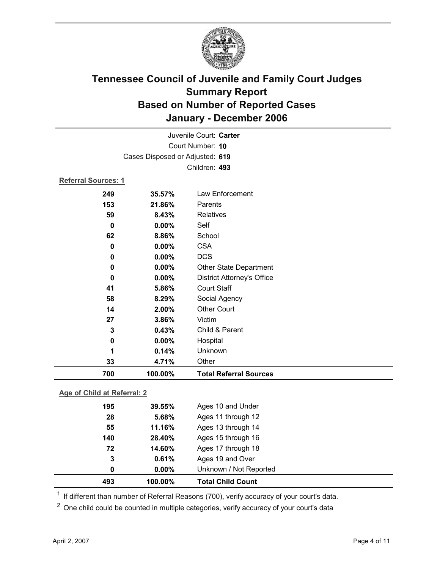

| Juvenile Court: Carter     |                                 |                                   |  |  |
|----------------------------|---------------------------------|-----------------------------------|--|--|
|                            | Court Number: 10                |                                   |  |  |
|                            | Cases Disposed or Adjusted: 619 |                                   |  |  |
|                            | Children: 493                   |                                   |  |  |
| <b>Referral Sources: 1</b> |                                 |                                   |  |  |
| 249                        | 35.57%                          | Law Enforcement                   |  |  |
| 153                        | 21.86%                          | Parents                           |  |  |
| 59                         | 8.43%                           | <b>Relatives</b>                  |  |  |
| 0                          | 0.00%                           | Self                              |  |  |
| 62                         | 8.86%                           | School                            |  |  |
| 0                          | 0.00%                           | <b>CSA</b>                        |  |  |
| 0                          | 0.00%                           | <b>DCS</b>                        |  |  |
| 0                          | 0.00%                           | Other State Department            |  |  |
| 0                          | 0.00%                           | <b>District Attorney's Office</b> |  |  |
| 41                         | 5.86%                           | <b>Court Staff</b>                |  |  |
| 58                         | 8.29%                           | Social Agency                     |  |  |
| 14                         | 2.00%                           | <b>Other Court</b>                |  |  |
| 27                         | 3.86%                           | Victim                            |  |  |
| 3                          | 0.43%                           | Child & Parent                    |  |  |
| $\mathbf 0$                | 0.00%                           | Hospital                          |  |  |
| 1                          | 0.14%                           | Unknown                           |  |  |
| 33                         | 4.71%                           | Other                             |  |  |
| 700                        | 100.00%                         | <b>Total Referral Sources</b>     |  |  |

### **Age of Child at Referral: 2**

| 493 | 100.00%  | <b>Total Child Count</b> |  |
|-----|----------|--------------------------|--|
| 0   | $0.00\%$ | Unknown / Not Reported   |  |
| 3   | 0.61%    | Ages 19 and Over         |  |
| 72  | 14.60%   | Ages 17 through 18       |  |
| 140 | 28.40%   | Ages 15 through 16       |  |
| 55  | 11.16%   | Ages 13 through 14       |  |
| 28  | 5.68%    | Ages 11 through 12       |  |
| 195 | 39.55%   | Ages 10 and Under        |  |
|     |          |                          |  |

<sup>1</sup> If different than number of Referral Reasons (700), verify accuracy of your court's data.

<sup>2</sup> One child could be counted in multiple categories, verify accuracy of your court's data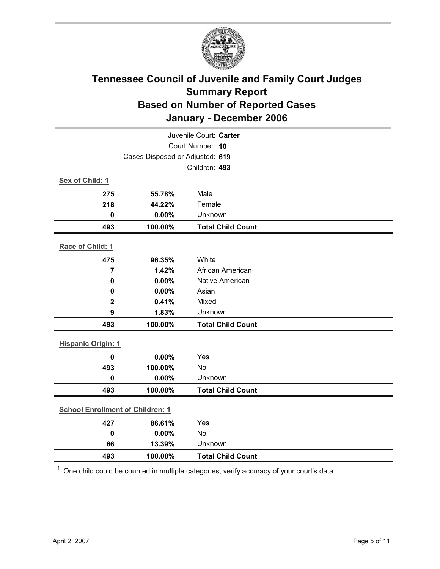

| Juvenile Court: Carter                  |                                 |                          |  |  |
|-----------------------------------------|---------------------------------|--------------------------|--|--|
|                                         | Court Number: 10                |                          |  |  |
|                                         | Cases Disposed or Adjusted: 619 |                          |  |  |
|                                         |                                 | Children: 493            |  |  |
| Sex of Child: 1                         |                                 |                          |  |  |
| 275                                     | 55.78%                          | Male                     |  |  |
| 218                                     | 44.22%                          | Female                   |  |  |
| $\mathbf 0$                             | 0.00%                           | Unknown                  |  |  |
| 493                                     | 100.00%                         | <b>Total Child Count</b> |  |  |
| Race of Child: 1                        |                                 |                          |  |  |
| 475                                     | 96.35%                          | White                    |  |  |
| $\overline{7}$                          | 1.42%                           | African American         |  |  |
| $\mathbf 0$                             | 0.00%                           | <b>Native American</b>   |  |  |
| 0                                       | 0.00%                           | Asian                    |  |  |
| $\mathbf{2}$                            | 0.41%                           | Mixed                    |  |  |
| $\boldsymbol{9}$                        | 1.83%                           | Unknown                  |  |  |
| 493                                     | 100.00%                         | <b>Total Child Count</b> |  |  |
| <b>Hispanic Origin: 1</b>               |                                 |                          |  |  |
| $\mathbf 0$                             | 0.00%                           | Yes                      |  |  |
| 493                                     | 100.00%                         | No                       |  |  |
| $\mathbf 0$                             | 0.00%                           | Unknown                  |  |  |
| 493                                     | 100.00%                         | <b>Total Child Count</b> |  |  |
| <b>School Enrollment of Children: 1</b> |                                 |                          |  |  |
| 427                                     | 86.61%                          | Yes                      |  |  |
| $\mathbf 0$                             | 0.00%                           | No                       |  |  |
| 66                                      | 13.39%                          | Unknown                  |  |  |
| 493                                     | 100.00%                         | <b>Total Child Count</b> |  |  |
|                                         |                                 |                          |  |  |

 $1$  One child could be counted in multiple categories, verify accuracy of your court's data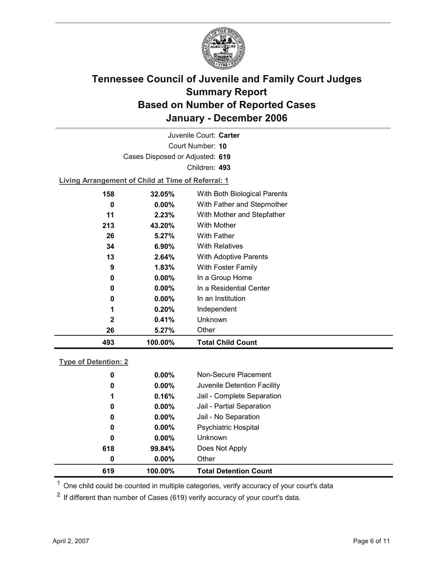

Court Number: **10** Juvenile Court: **Carter** Cases Disposed or Adjusted: **619** Children: **493**

**Living Arrangement of Child at Time of Referral: 1**

| 493          | 100.00%  | <b>Total Child Count</b>     |  |
|--------------|----------|------------------------------|--|
| 26           | 5.27%    | Other                        |  |
| $\mathbf{2}$ | 0.41%    | Unknown                      |  |
| 1            | 0.20%    | Independent                  |  |
| 0            | $0.00\%$ | In an Institution            |  |
| 0            | $0.00\%$ | In a Residential Center      |  |
| 0            | $0.00\%$ | In a Group Home              |  |
| 9            | 1.83%    | With Foster Family           |  |
| 13           | 2.64%    | With Adoptive Parents        |  |
| 34           | $6.90\%$ | <b>With Relatives</b>        |  |
| 26           | 5.27%    | <b>With Father</b>           |  |
| 213          | 43.20%   | With Mother                  |  |
| 11           | 2.23%    | With Mother and Stepfather   |  |
| 0            | $0.00\%$ | With Father and Stepmother   |  |
| 158          | 32.05%   | With Both Biological Parents |  |
|              |          |                              |  |

#### **Type of Detention: 2**

| 619 | 100.00%  | <b>Total Detention Count</b> |
|-----|----------|------------------------------|
| 0   | $0.00\%$ | Other                        |
| 618 | 99.84%   | Does Not Apply               |
| 0   | $0.00\%$ | <b>Unknown</b>               |
| 0   | $0.00\%$ | <b>Psychiatric Hospital</b>  |
| 0   | $0.00\%$ | Jail - No Separation         |
| 0   | $0.00\%$ | Jail - Partial Separation    |
| 1   | 0.16%    | Jail - Complete Separation   |
| 0   | $0.00\%$ | Juvenile Detention Facility  |
| 0   | $0.00\%$ | Non-Secure Placement         |
|     |          |                              |

 $<sup>1</sup>$  One child could be counted in multiple categories, verify accuracy of your court's data</sup>

 $2$  If different than number of Cases (619) verify accuracy of your court's data.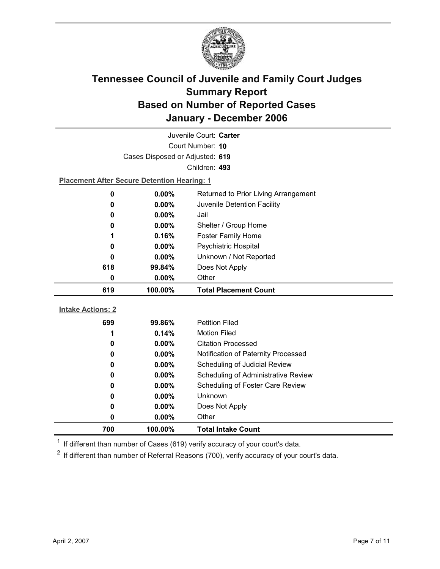

| Juvenile Court: Carter   |                                                    |                                      |  |
|--------------------------|----------------------------------------------------|--------------------------------------|--|
| Court Number: 10         |                                                    |                                      |  |
|                          | Cases Disposed or Adjusted: 619                    |                                      |  |
|                          |                                                    | Children: 493                        |  |
|                          | <b>Placement After Secure Detention Hearing: 1</b> |                                      |  |
| 0                        | 0.00%                                              | Returned to Prior Living Arrangement |  |
| 0                        | 0.00%                                              | Juvenile Detention Facility          |  |
| 0                        | 0.00%                                              | Jail                                 |  |
| 0                        | $0.00\%$                                           | Shelter / Group Home                 |  |
| 1                        | 0.16%                                              | <b>Foster Family Home</b>            |  |
| 0                        | $0.00\%$                                           | Psychiatric Hospital                 |  |
| 0                        | $0.00\%$                                           | Unknown / Not Reported               |  |
| 618                      | 99.84%                                             | Does Not Apply                       |  |
| 0                        | $0.00\%$                                           | Other                                |  |
|                          |                                                    |                                      |  |
| 619                      | 100.00%                                            | <b>Total Placement Count</b>         |  |
|                          |                                                    |                                      |  |
| <b>Intake Actions: 2</b> |                                                    |                                      |  |
| 699                      | 99.86%                                             | <b>Petition Filed</b>                |  |
| 1                        | 0.14%                                              | <b>Motion Filed</b>                  |  |
| 0                        | $0.00\%$                                           | <b>Citation Processed</b>            |  |
| 0                        | $0.00\%$                                           | Notification of Paternity Processed  |  |
| 0                        | 0.00%                                              | Scheduling of Judicial Review        |  |
| 0                        | $0.00\%$                                           | Scheduling of Administrative Review  |  |
| 0                        | $0.00\%$                                           | Scheduling of Foster Care Review     |  |
| 0                        | 0.00%                                              | <b>Unknown</b>                       |  |
| 0                        | 0.00%                                              | Does Not Apply                       |  |
| 0<br>700                 | 0.00%<br>100.00%                                   | Other<br><b>Total Intake Count</b>   |  |

 $1$  If different than number of Cases (619) verify accuracy of your court's data.

 $2$  If different than number of Referral Reasons (700), verify accuracy of your court's data.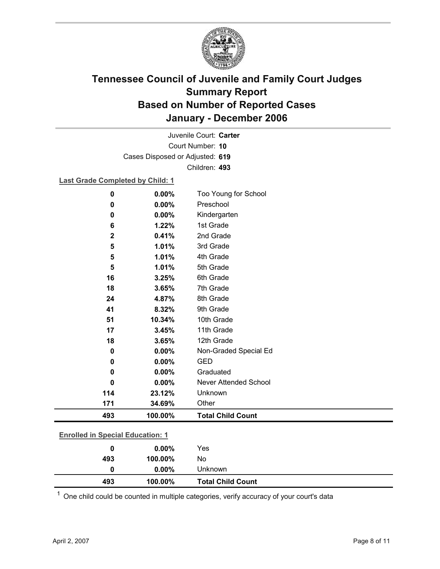

Court Number: **10** Juvenile Court: **Carter** Cases Disposed or Adjusted: **619** Children: **493**

#### **Last Grade Completed by Child: 1**

| $\bf{0}$    | $0.00\%$ | Too Young for School         |  |
|-------------|----------|------------------------------|--|
| 0           | 0.00%    | Preschool                    |  |
| $\mathbf 0$ | 0.00%    | Kindergarten                 |  |
| 6           | 1.22%    | 1st Grade                    |  |
| $\mathbf 2$ | 0.41%    | 2nd Grade                    |  |
| 5           | 1.01%    | 3rd Grade                    |  |
| 5           | 1.01%    | 4th Grade                    |  |
| 5           | 1.01%    | 5th Grade                    |  |
| 16          | 3.25%    | 6th Grade                    |  |
| 18          | 3.65%    | 7th Grade                    |  |
| 24          | 4.87%    | 8th Grade                    |  |
| 41          | 8.32%    | 9th Grade                    |  |
| 51          | 10.34%   | 10th Grade                   |  |
| 17          | 3.45%    | 11th Grade                   |  |
| 18          | 3.65%    | 12th Grade                   |  |
| 0           | 0.00%    | Non-Graded Special Ed        |  |
| 0           | 0.00%    | <b>GED</b>                   |  |
| 0           | 0.00%    | Graduated                    |  |
| 0           | 0.00%    | <b>Never Attended School</b> |  |
| 114         | 23.12%   | Unknown                      |  |
| 171         | 34.69%   | Other                        |  |
| 493         | 100.00%  | <b>Total Child Count</b>     |  |

| 493            | 100.00%  | <b>Total Child Count</b> |  |  |
|----------------|----------|--------------------------|--|--|
| 0              | $0.00\%$ | Unknown                  |  |  |
| 493            | 100.00%  | No                       |  |  |
| 0              | $0.00\%$ | Yes                      |  |  |
| $\blacksquare$ |          |                          |  |  |

 $1$  One child could be counted in multiple categories, verify accuracy of your court's data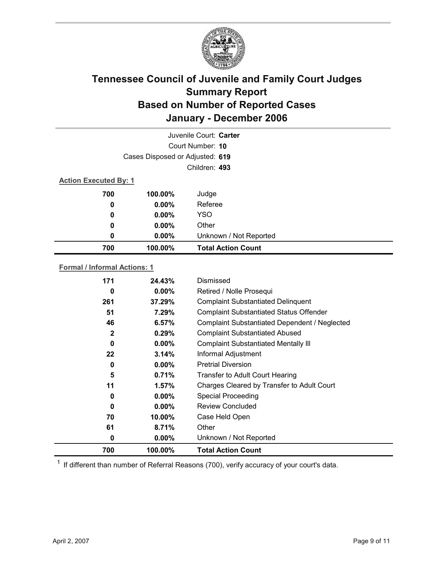

|                              |                                 | Juvenile Court: Carter    |
|------------------------------|---------------------------------|---------------------------|
|                              |                                 | Court Number: 10          |
|                              | Cases Disposed or Adjusted: 619 |                           |
|                              |                                 | Children: 493             |
| <b>Action Executed By: 1</b> |                                 |                           |
| 700                          | 100.00%                         | Judge                     |
| 0                            | $0.00\%$                        | Referee                   |
| 0                            | $0.00\%$                        | <b>YSO</b>                |
| 0                            | $0.00\%$                        | Other                     |
| 0                            | $0.00\%$                        | Unknown / Not Reported    |
| 700                          | 100.00%                         | <b>Total Action Count</b> |

#### **Formal / Informal Actions: 1**

| 171          | 24.43%   | Dismissed                                      |
|--------------|----------|------------------------------------------------|
| 0            | $0.00\%$ | Retired / Nolle Prosequi                       |
| 261          | 37.29%   | <b>Complaint Substantiated Delinquent</b>      |
| 51           | 7.29%    | <b>Complaint Substantiated Status Offender</b> |
| 46           | 6.57%    | Complaint Substantiated Dependent / Neglected  |
| $\mathbf{2}$ | 0.29%    | <b>Complaint Substantiated Abused</b>          |
| 0            | $0.00\%$ | <b>Complaint Substantiated Mentally III</b>    |
| 22           | 3.14%    | Informal Adjustment                            |
| 0            | $0.00\%$ | <b>Pretrial Diversion</b>                      |
| 5            | 0.71%    | Transfer to Adult Court Hearing                |
| 11           | 1.57%    | Charges Cleared by Transfer to Adult Court     |
| 0            | $0.00\%$ | <b>Special Proceeding</b>                      |
| 0            | $0.00\%$ | <b>Review Concluded</b>                        |
| 70           | 10.00%   | Case Held Open                                 |
| 61           | 8.71%    | Other                                          |
| 0            | $0.00\%$ | Unknown / Not Reported                         |
| 700          | 100.00%  | <b>Total Action Count</b>                      |

 $1$  If different than number of Referral Reasons (700), verify accuracy of your court's data.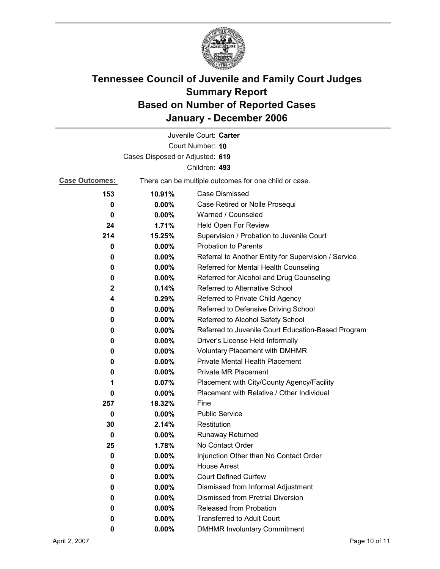

|                                 |                                                       | Juvenile Court: Carter                               |  |  |
|---------------------------------|-------------------------------------------------------|------------------------------------------------------|--|--|
|                                 |                                                       | Court Number: 10                                     |  |  |
| Cases Disposed or Adjusted: 619 |                                                       |                                                      |  |  |
|                                 |                                                       | Children: 493                                        |  |  |
| <b>Case Outcomes:</b>           | There can be multiple outcomes for one child or case. |                                                      |  |  |
| 153                             | 10.91%                                                | <b>Case Dismissed</b>                                |  |  |
| 0                               | 0.00%                                                 | Case Retired or Nolle Prosequi                       |  |  |
| 0                               | 0.00%                                                 | Warned / Counseled                                   |  |  |
| 24                              | 1.71%                                                 | Held Open For Review                                 |  |  |
| 214                             | 15.25%                                                | Supervision / Probation to Juvenile Court            |  |  |
| 0                               | $0.00\%$                                              | <b>Probation to Parents</b>                          |  |  |
| 0                               | $0.00\%$                                              | Referral to Another Entity for Supervision / Service |  |  |
| 0                               | 0.00%                                                 | Referred for Mental Health Counseling                |  |  |
| 0                               | $0.00\%$                                              | Referred for Alcohol and Drug Counseling             |  |  |
| $\mathbf{2}$                    | 0.14%                                                 | Referred to Alternative School                       |  |  |
| 4                               | 0.29%                                                 | Referred to Private Child Agency                     |  |  |
| 0                               | $0.00\%$                                              | Referred to Defensive Driving School                 |  |  |
| 0                               | $0.00\%$                                              | Referred to Alcohol Safety School                    |  |  |
| 0                               | $0.00\%$                                              | Referred to Juvenile Court Education-Based Program   |  |  |
| 0                               | $0.00\%$                                              | Driver's License Held Informally                     |  |  |
| 0                               | $0.00\%$                                              | <b>Voluntary Placement with DMHMR</b>                |  |  |
| 0                               | $0.00\%$                                              | <b>Private Mental Health Placement</b>               |  |  |
| 0                               | $0.00\%$                                              | <b>Private MR Placement</b>                          |  |  |
| 1                               | 0.07%                                                 | Placement with City/County Agency/Facility           |  |  |
| 0                               | $0.00\%$                                              | Placement with Relative / Other Individual           |  |  |
| 257                             | 18.32%                                                | Fine                                                 |  |  |
| 0                               | $0.00\%$                                              | <b>Public Service</b>                                |  |  |
| 30                              | 2.14%                                                 | Restitution                                          |  |  |
| 0                               | $0.00\%$                                              | <b>Runaway Returned</b>                              |  |  |
| 25                              | 1.78%                                                 | No Contact Order                                     |  |  |
| 0                               | 0.00%                                                 | Injunction Other than No Contact Order               |  |  |
| 0                               | 0.00%                                                 | <b>House Arrest</b>                                  |  |  |
| 0                               | $0.00\%$                                              | <b>Court Defined Curfew</b>                          |  |  |
| 0                               | 0.00%                                                 | Dismissed from Informal Adjustment                   |  |  |
| 0                               | $0.00\%$                                              | <b>Dismissed from Pretrial Diversion</b>             |  |  |
| 0                               | 0.00%                                                 | Released from Probation                              |  |  |
| 0                               | $0.00\%$                                              | <b>Transferred to Adult Court</b>                    |  |  |
| 0                               | $0.00\%$                                              | <b>DMHMR Involuntary Commitment</b>                  |  |  |